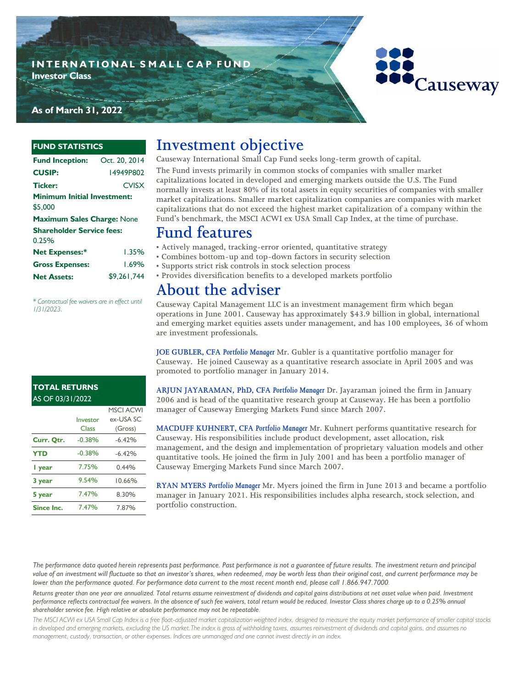



**As of March 31, 2022**

#### **FUND STATISTICS**

| <b>Fund Inception:</b>                        | Oct. 20, 2014 |
|-----------------------------------------------|---------------|
| <b>CUSIP:</b>                                 | 14949P802     |
| Ticker:                                       | <b>CVISX</b>  |
| <b>Minimum Initial Investment:</b><br>\$5.000 |               |
| <b>Maximum Sales Charge: None</b>             |               |
| <b>Shareholder Service fees:</b><br>0.25%     |               |
| <b>Net Expenses:*</b>                         | 1.35%         |
| <b>Gross Expenses:</b>                        | 1.69%         |
| <b>Net Assets:</b>                            | \$9.261.744   |

*\* Contractual fee waivers are in effect until 1/31/2023.*

# **Investment objective**

**Causeway International Small Cap Fund seeks long-term growth of capital. The Fund invests primarily in common stocks of companies with smaller market capitalizations located in developed and emerging markets outside the U.S. The Fund normally invests at least 80% of its total assets in equity securities of companies with smaller market capitalizations. Smaller market capitalization companies are companies with market capitalizations that do not exceed the highest market capitalization of a company within the Fund's benchmark, the MSCI ACWI ex USA Small Cap Index, at the time of purchase.**

## **Fund features**

- **Actively managed, tracking-error oriented, quantitative strategy**
- **Combines bottom-up and top-down factors in security selection**
	- **Supports strict risk controls in stock selection process**
	- **Provides diversification benefits to a developed markets portfolio**

# **About the adviser**

**Causeway Capital Management LLC is an investment management firm which began operations in June 2001. Causeway has approximately \$43.9 billion in global, international and emerging market equities assets under management, and has 100 employees, 36 of whom are investment professionals.** 

**JOE GUBLER, CFA** *Portfolio Manager* **Mr. Gubler is a quantitative portfolio manager for Causeway. He joined Causeway as a quantitative research associate in April 2005 and was promoted to portfolio manager in January 2014.**

### **TOTAL RETURNS**  AS OF 03/31/2022

|            |          | <b>MSCI ACWI</b> |
|------------|----------|------------------|
|            | Investor | ex-USA SC        |
|            | Class    | (Gross)          |
| Curr. Qtr. | $-0.38%$ | $-6.42%$         |
| <b>YTD</b> | $-0.38%$ | $-6.42%$         |
| l year     | 7.75%    | 0.44%            |
| 3 year     | 9.54%    | 10.66%           |
| 5 year     | 7.47%    | 8.30%            |
| Since Inc. | 7.47%    | 7.87%            |

**ARJUN JAYARAMAN, PhD, CFA** *Portfolio Manager* **Dr. Jayaraman joined the firm in January 2006 and is head of the quantitative research group at Causeway. He has been a portfolio manager of Causeway Emerging Markets Fund since March 2007.**

**MACDUFF KUHNERT, CFA** *Portfolio Manager* **Mr. Kuhnert performs quantitative research for Causeway. His responsibilities include product development, asset allocation, risk management, and the design and implementation of proprietary valuation models and other quantitative tools. He joined the firm in July 2001 and has been a portfolio manager of Causeway Emerging Markets Fund since March 2007.**

**RYAN MYERS** *Portfolio Manager* **Mr. Myers joined the firm in June 2013 and became a portfolio manager in January 2021. His responsibilities includes alpha research, stock selection, and portfolio construction.** 

*The performance data quoted herein represents past performance. Past performance is not a guarantee of future results. The investment return and principal value of an investment will fluctuate so that an investor's shares, when redeemed, may be worth less than their original cost, and current performance may be lower than the performance quoted. For performance data current to the most recent month end, please call 1.866.947.7000.*

*Returns greater than one year are annualized. Total returns assume reinvestment of dividends and capital gains distributions at net asset value when paid. Investment performance reflects contractual fee waivers. In the absence of such fee waivers, total return would be reduced. Investor Class shares charge up to a 0.25% annual shareholder service fee. High relative or absolute performance may not be repeatable.*

*The MSCI ACWI ex USA Small Cap Index is a free float-adjusted market capitalization weighted index, designed to measure the equity market performance of smaller capital stocks in developed and emerging markets, excluding the US market.The index is gross of withholding taxes, assumes reinvestment of dividends and capital gains, and assumes no management, custody, transaction, or other expenses. Indices are unmanaged and one cannot invest directly in an index.*